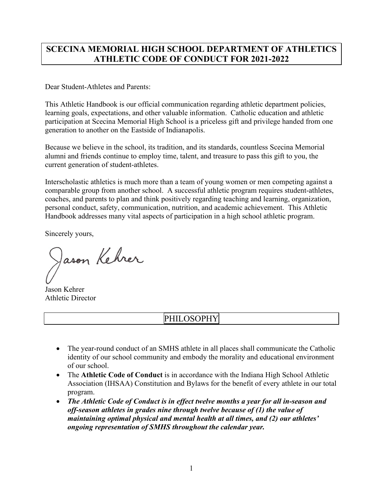# **SCECINA MEMORIAL HIGH SCHOOL DEPARTMENT OF ATHLETICS ATHLETIC CODE OF CONDUCT FOR 2021-2022**

Dear Student-Athletes and Parents:

This Athletic Handbook is our official communication regarding athletic department policies, learning goals, expectations, and other valuable information. Catholic education and athletic participation at Scecina Memorial High School is a priceless gift and privilege handed from one generation to another on the Eastside of Indianapolis.

Because we believe in the school, its tradition, and its standards, countless Scecina Memorial alumni and friends continue to employ time, talent, and treasure to pass this gift to you, the current generation of student-athletes.

Interscholastic athletics is much more than a team of young women or men competing against a comparable group from another school. A successful athletic program requires student-athletes, coaches, and parents to plan and think positively regarding teaching and learning, organization, personal conduct, safety, communication, nutrition, and academic achievement. This Athletic Handbook addresses many vital aspects of participation in a high school athletic program.

Sincerely yours,

Jason Kehrer

Jason Kehrer Athletic Director

# PHILOSOPHY

- The year-round conduct of an SMHS athlete in all places shall communicate the Catholic identity of our school community and embody the morality and educational environment of our school.
- The **Athletic Code of Conduct** is in accordance with the Indiana High School Athletic Association (IHSAA) Constitution and Bylaws for the benefit of every athlete in our total program.
- *The Athletic Code of Conduct is in effect twelve months a year for all in-season and off-season athletes in grades nine through twelve because of (1) the value of maintaining optimal physical and mental health at all times, and (2) our athletes' ongoing representation of SMHS throughout the calendar year.*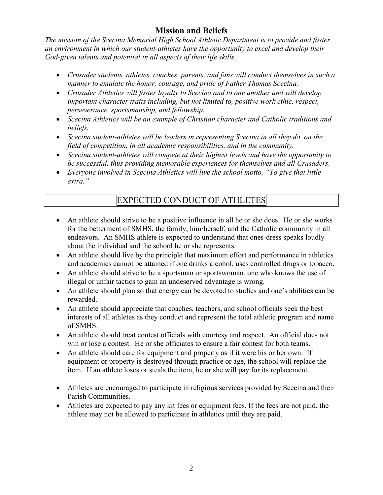# **Mission and Beliefs**

*The mission of the Scecina Memorial High School Athletic Department is to provide and foster an environment in which our student-athletes have the opportunity to excel and develop their God-given talents and potential in all aspects of their life skills.*

- *Crusader students, athletes, coaches, parents, and fans will conduct themselves in such a manner to emulate the honor, courage, and pride of Father Thomas Scecina.*
- *Crusader Athletics will foster loyalty to Scecina and to one another and will develop important character traits including, but not limited to, positive work ethic, respect, perseverance, sportsmanship, and fellowship.*
- *Scecina Athletics will be an example of Christian character and Catholic traditions and beliefs.*
- *Scecina student-athletes will be leaders in representing Scecina in all they do, on the field of competition, in all academic responsibilities, and in the community.*
- *Scecina student-athletes will compete at their highest levels and have the opportunity to be successful, thus providing memorable experiences for themselves and all Crusaders.*
- *Everyone involved in Scecina Athletics will live the school motto, "To give that little extra."*

# EXPECTED CONDUCT OF ATHLETES

- An athlete should strive to be a positive influence in all he or she does. He or she works for the betterment of SMHS, the family, him/herself, and the Catholic community in all endeavors. An SMHS athlete is expected to understand that ones-dress speaks loudly about the individual and the school he or she represents.
- An athlete should live by the principle that maximum effort and performance in athletics and academics cannot be attained if one drinks alcohol, uses controlled drugs or tobacco.
- An athlete should strive to be a sportsman or sportswoman, one who knows the use of illegal or unfair tactics to gain an undeserved advantage is wrong.
- An athlete should plan so that energy can be devoted to studies and one's abilities can be rewarded.
- An athlete should appreciate that coaches, teachers, and school officials seek the best interests of all athletes as they conduct and represent the total athletic program and name of SMHS.
- An athlete should treat contest officials with courtesy and respect. An official does not win or lose a contest. He or she officiates to ensure a fair contest for both teams.
- An athlete should care for equipment and property as if it were his or her own. If equipment or property is destroyed through practice or age, the school will replace the item. If an athlete loses or steals the item, he or she will pay for its replacement.
- Athletes are encouraged to participate in religious services provided by Scecina and their Parish Communities.
- Athletes are expected to pay any kit fees or equipment fees. If the fees are not paid, the athlete may not be allowed to participate in athletics until they are paid.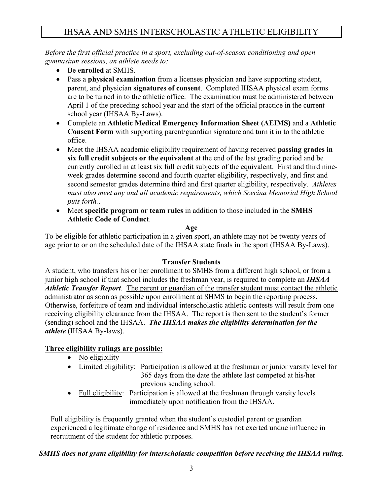# IHSAA AND SMHS INTERSCHOLASTIC ATHLETIC ELIGIBILITY

*Before the first official practice in a sport, excluding out-of-season conditioning and open gymnasium sessions, an athlete needs to:*

- Be **enrolled** at SMHS.
- Pass a **physical examination** from a licenses physician and have supporting student, parent, and physician **signatures of consent**. Completed IHSAA physical exam forms are to be turned in to the athletic office. The examination must be administered between April 1 of the preceding school year and the start of the official practice in the current school year (IHSAA By-Laws).
- Complete an **Athletic Medical Emergency Information Sheet (AEIMS)** and a **Athletic Consent Form** with supporting parent/guardian signature and turn it in to the athletic office.
- Meet the IHSAA academic eligibility requirement of having received **passing grades in six full credit subjects or the equivalent** at the end of the last grading period and be currently enrolled in at least six full credit subjects of the equivalent. First and third nineweek grades determine second and fourth quarter eligibility, respectively, and first and second semester grades determine third and first quarter eligibility, respectively. *Athletes must also meet any and all academic requirements, which Scecina Memorial High School puts forth.*.
- Meet **specific program or team rules** in addition to those included in the **SMHS Athletic Code of Conduct**.

#### **Age**

To be eligible for athletic participation in a given sport, an athlete may not be twenty years of age prior to or on the scheduled date of the IHSAA state finals in the sport (IHSAA By-Laws).

#### **Transfer Students**

A student, who transfers his or her enrollment to SMHS from a different high school, or from a junior high school if that school includes the freshman year, is required to complete an *IHSAA Athletic Transfer Report*. The parent or guardian of the transfer student must contact the athletic administrator as soon as possible upon enrollment at SHMS to begin the reporting process. Otherwise, forfeiture of team and individual interscholastic athletic contests will result from one receiving eligibility clearance from the IHSAA. The report is then sent to the student's former (sending) school and the IHSAA. *The IHSAA makes the eligibility determination for the athlete* (IHSAA By-laws).

## **Three eligibility rulings are possible:**

- No eligibility
- Limited eligibility: Participation is allowed at the freshman or junior varsity level for 365 days from the date the athlete last competed at his/her previous sending school.
- Full eligibility: Participation is allowed at the freshman through varsity levels immediately upon notification from the IHSAA.

Full eligibility is frequently granted when the student's custodial parent or guardian experienced a legitimate change of residence and SMHS has not exerted undue influence in recruitment of the student for athletic purposes.

## *SMHS does not grant eligibility for interscholastic competition before receiving the IHSAA ruling.*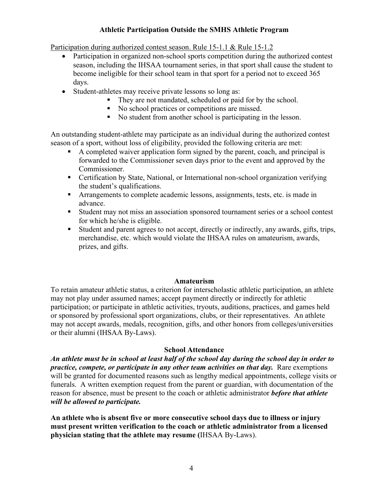#### **Athletic Participation Outside the SMHS Athletic Program**

Participation during authorized contest season. Rule 15-1.1 & Rule 15-1.2

- Participation in organized non-school sports competition during the authorized contest season, including the IHSAA tournament series, in that sport shall cause the student to become ineligible for their school team in that sport for a period not to exceed 365 days.
- Student-athletes may receive private lessons so long as:
	- They are not mandated, scheduled or paid for by the school.
	- No school practices or competitions are missed.
	- No student from another school is participating in the lesson.

An outstanding student-athlete may participate as an individual during the authorized contest season of a sport, without loss of eligibility, provided the following criteria are met:

- A completed waiver application form signed by the parent, coach, and principal is forwarded to the Commissioner seven days prior to the event and approved by the Commissioner.
- Certification by State, National, or International non-school organization verifying the student's qualifications.
- Arrangements to complete academic lessons, assignments, tests, etc. is made in advance.
- Student may not miss an association sponsored tournament series or a school contest for which he/she is eligible.
- Student and parent agrees to not accept, directly or indirectly, any awards, gifts, trips, merchandise, etc. which would violate the IHSAA rules on amateurism, awards, prizes, and gifts.

#### **Amateurism**

To retain amateur athletic status, a criterion for interscholastic athletic participation, an athlete may not play under assumed names; accept payment directly or indirectly for athletic participation; or participate in athletic activities, tryouts, auditions, practices, and games held or sponsored by professional sport organizations, clubs, or their representatives. An athlete may not accept awards, medals, recognition, gifts, and other honors from colleges/universities or their alumni (IHSAA By-Laws).

#### **School Attendance**

*An athlete must be in school at least half of the school day during the school day in order to practice, compete, or participate in any other team activities on that day.* Rare exemptions will be granted for documented reasons such as lengthy medical appointments, college visits or funerals. A written exemption request from the parent or guardian, with documentation of the reason for absence, must be present to the coach or athletic administrator *before that athlete will be allowed to participate.*

**An athlete who is absent five or more consecutive school days due to illness or injury must present written verification to the coach or athletic administrator from a licensed physician stating that the athlete may resume (**IHSAA By-Laws).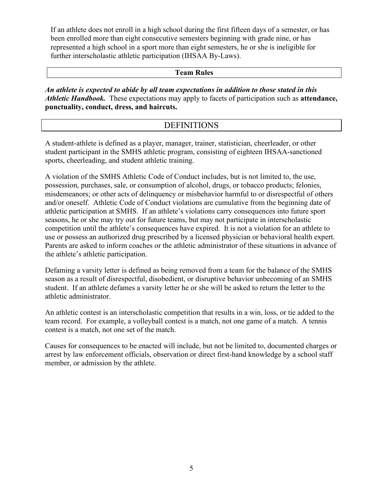If an athlete does not enroll in a high school during the first fifteen days of a semester, or has been enrolled more than eight consecutive semesters beginning with grade nine, or has represented a high school in a sport more than eight semesters, he or she is ineligible for further interscholastic athletic participation (IHSAA By-Laws).

### **Team Rules**

*An athlete is expected to abide by all team expectations in addition to those stated in this Athletic Handbook.* These expectations may apply to facets of participation such as **attendance, punctuality, conduct, dress, and haircuts.**

## **DEFINITIONS**

A student-athlete is defined as a player, manager, trainer, statistician, cheerleader, or other student participant in the SMHS athletic program, consisting of eighteen IHSAA-sanctioned sports, cheerleading, and student athletic training.

A violation of the SMHS Athletic Code of Conduct includes, but is not limited to, the use, possession, purchases, sale, or consumption of alcohol, drugs, or tobacco products; felonies, misdemeanors; or other acts of delinquency or misbehavior harmful to or disrespectful of others and/or oneself. Athletic Code of Conduct violations are cumulative from the beginning date of athletic participation at SMHS. If an athlete's violations carry consequences into future sport seasons, he or she may try out for future teams, but may not participate in interscholastic competition until the athlete's consequences have expired. It is not a violation for an athlete to use or possess an authorized drug prescribed by a licensed physician or behavioral health expert. Parents are asked to inform coaches or the athletic administrator of these situations in advance of the athlete's athletic participation.

Defaming a varsity letter is defined as being removed from a team for the balance of the SMHS season as a result of disrespectful, disobedient, or disruptive behavior unbecoming of an SMHS student. If an athlete defames a varsity letter he or she will be asked to return the letter to the athletic administrator.

An athletic contest is an interscholastic competition that results in a win, loss, or tie added to the team record. For example, a volleyball contest is a match, not one game of a match. A tennis contest is a match, not one set of the match.

Causes for consequences to be enacted will include, but not be limited to, documented charges or arrest by law enforcement officials, observation or direct first-hand knowledge by a school staff member, or admission by the athlete.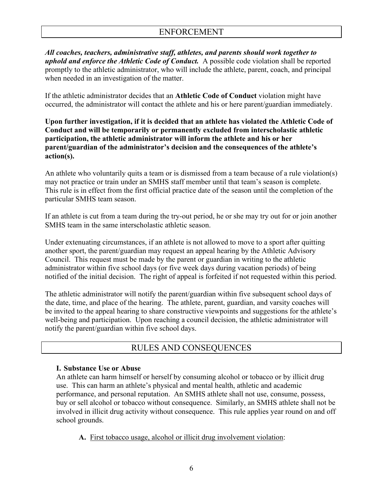*All coaches, teachers, administrative staff, athletes, and parents should work together to uphold and enforce the Athletic Code of Conduct.* A possible code violation shall be reported promptly to the athletic administrator, who will include the athlete, parent, coach, and principal when needed in an investigation of the matter.

If the athletic administrator decides that an **Athletic Code of Conduct** violation might have occurred, the administrator will contact the athlete and his or here parent/guardian immediately.

**Upon further investigation, if it is decided that an athlete has violated the Athletic Code of Conduct and will be temporarily or permanently excluded from interscholastic athletic participation, the athletic administrator will inform the athlete and his or her parent/guardian of the administrator's decision and the consequences of the athlete's action(s).**

An athlete who voluntarily quits a team or is dismissed from a team because of a rule violation(s) may not practice or train under an SMHS staff member until that team's season is complete. This rule is in effect from the first official practice date of the season until the completion of the particular SMHS team season.

If an athlete is cut from a team during the try-out period, he or she may try out for or join another SMHS team in the same interscholastic athletic season.

Under extenuating circumstances, if an athlete is not allowed to move to a sport after quitting another sport, the parent/guardian may request an appeal hearing by the Athletic Advisory Council. This request must be made by the parent or guardian in writing to the athletic administrator within five school days (or five week days during vacation periods) of being notified of the initial decision. The right of appeal is forfeited if not requested within this period.

The athletic administrator will notify the parent/guardian within five subsequent school days of the date, time, and place of the hearing. The athlete, parent, guardian, and varsity coaches will be invited to the appeal hearing to share constructive viewpoints and suggestions for the athlete's well-being and participation. Upon reaching a council decision, the athletic administrator will notify the parent/guardian within five school days.

# RULES AND CONSEQUENCES

#### **I. Substance Use or Abuse**

An athlete can harm himself or herself by consuming alcohol or tobacco or by illicit drug use. This can harm an athlete's physical and mental health, athletic and academic performance, and personal reputation. An SMHS athlete shall not use, consume, possess, buy or sell alcohol or tobacco without consequence. Similarly, an SMHS athlete shall not be involved in illicit drug activity without consequence. This rule applies year round on and off school grounds.

**A.** First tobacco usage, alcohol or illicit drug involvement violation: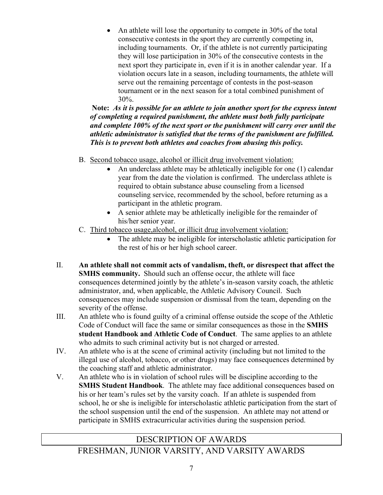• An athlete will lose the opportunity to compete in 30% of the total consecutive contests in the sport they are currently competing in, including tournaments. Or, if the athlete is not currently participating they will lose participation in 30% of the consecutive contests in the next sport they participate in, even if it is in another calendar year. If a violation occurs late in a season, including tournaments, the athlete will serve out the remaining percentage of contests in the post-season tournament or in the next season for a total combined punishment of 30%.

**Note:** *As it is possible for an athlete to join another sport for the express intent of completing a required punishment, the athlete must both fully participate and complete 100% of the next sport or the punishment will carry over until the athletic administrator is satisfied that the terms of the punishment are fulfilled. This is to prevent both athletes and coaches from abusing this policy.*

- B. Second tobacco usage, alcohol or illicit drug involvement violation:
	- An underclass athlete may be athletically ineligible for one (1) calendar year from the date the violation is confirmed. The underclass athlete is required to obtain substance abuse counseling from a licensed counseling service, recommended by the school, before returning as a participant in the athletic program.
	- A senior athlete may be athletically ineligible for the remainder of his/her senior year.
- C. Third tobacco usage,alcohol, or illicit drug involvement violation:
	- The athlete may be ineligible for interscholastic athletic participation for the rest of his or her high school career.
- II. **An athlete shall not commit acts of vandalism, theft, or disrespect that affect the SMHS community.** Should such an offense occur, the athlete will face consequences determined jointly by the athlete's in-season varsity coach, the athletic administrator, and, when applicable, the Athletic Advisory Council. Such consequences may include suspension or dismissal from the team, depending on the severity of the offense.
- III. An athlete who is found guilty of a criminal offense outside the scope of the Athletic Code of Conduct will face the same or similar consequences as those in the **SMHS student Handbook and Athletic Code of Conduct**. The same applies to an athlete who admits to such criminal activity but is not charged or arrested.
- IV. An athlete who is at the scene of criminal activity (including but not limited to the illegal use of alcohol, tobacco, or other drugs) may face consequences determined by the coaching staff and athletic administrator.
- V. An athlete who is in violation of school rules will be discipline according to the **SMHS Student Handbook**. The athlete may face additional consequences based on his or her team's rules set by the varsity coach. If an athlete is suspended from school, he or she is ineligible for interscholastic athletic participation from the start of the school suspension until the end of the suspension. An athlete may not attend or participate in SMHS extracurricular activities during the suspension period.

# DESCRIPTION OF AWARDS

FRESHMAN, JUNIOR VARSITY, AND VARSITY AWARDS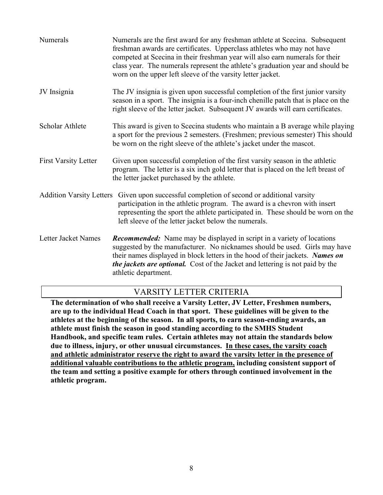| Numerals                        | Numerals are the first award for any freshman athlete at Scecina. Subsequent<br>freshman awards are certificates. Upperclass athletes who may not have<br>competed at Scecina in their freshman year will also earn numerals for their<br>class year. The numerals represent the athlete's graduation year and should be<br>worn on the upper left sleeve of the varsity letter jacket. |  |
|---------------------------------|-----------------------------------------------------------------------------------------------------------------------------------------------------------------------------------------------------------------------------------------------------------------------------------------------------------------------------------------------------------------------------------------|--|
| JV Insignia                     | The JV insignia is given upon successful completion of the first junior varsity<br>season in a sport. The insignia is a four-inch chenille patch that is place on the<br>right sleeve of the letter jacket. Subsequent JV awards will earn certificates.                                                                                                                                |  |
| Scholar Athlete                 | This award is given to Scecina students who maintain a B average while playing<br>a sport for the previous 2 semesters. (Freshmen; previous semester) This should<br>be worn on the right sleeve of the athlete's jacket under the mascot.                                                                                                                                              |  |
| <b>First Varsity Letter</b>     | Given upon successful completion of the first varsity season in the athletic<br>program. The letter is a six inch gold letter that is placed on the left breast of<br>the letter jacket purchased by the athlete.                                                                                                                                                                       |  |
| <b>Addition Varsity Letters</b> | Given upon successful completion of second or additional varsity<br>participation in the athletic program. The award is a chevron with insert<br>representing the sport the athlete participated in. These should be worn on the<br>left sleeve of the letter jacket below the numerals.                                                                                                |  |
| Letter Jacket Names             | <b>Recommended:</b> Name may be displayed in script in a variety of locations<br>suggested by the manufacturer. No nicknames should be used. Girls may have<br>their names displayed in block letters in the hood of their jackets. Names on<br><i>the jackets are optional.</i> Cost of the Jacket and lettering is not paid by the<br>athletic department.                            |  |

## VARSITY LETTER CRITERIA

**The determination of who shall receive a Varsity Letter, JV Letter, Freshmen numbers, are up to the individual Head Coach in that sport. These guidelines will be given to the athletes at the beginning of the season. In all sports, to earn season-ending awards, an athlete must finish the season in good standing according to the SMHS Student Handbook, and specific team rules. Certain athletes may not attain the standards below due to illness, injury, or other unusual circumstances. In these cases, the varsity coach and athletic administrator reserve the right to award the varsity letter in the presence of additional valuable contributions to the athletic program, including consistent support of the team and setting a positive example for others through continued involvement in the athletic program.**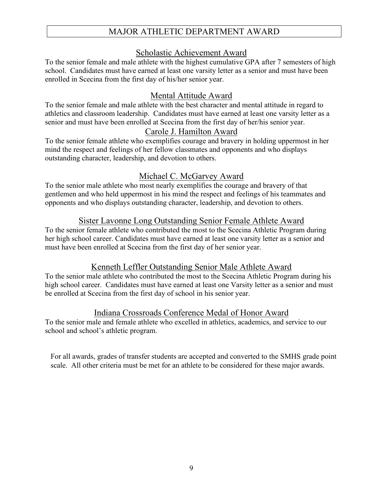# MAJOR ATHLETIC DEPARTMENT AWARD

## Scholastic Achievement Award

To the senior female and male athlete with the highest cumulative GPA after 7 semesters of high school. Candidates must have earned at least one varsity letter as a senior and must have been enrolled in Scecina from the first day of his/her senior year.

# Mental Attitude Award

To the senior female and male athlete with the best character and mental attitude in regard to athletics and classroom leadership. Candidates must have earned at least one varsity letter as a senior and must have been enrolled at Scecina from the first day of her/his senior year.

## Carole J. Hamilton Award

To the senior female athlete who exemplifies courage and bravery in holding uppermost in her mind the respect and feelings of her fellow classmates and opponents and who displays outstanding character, leadership, and devotion to others.

## Michael C. McGarvey Award

To the senior male athlete who most nearly exemplifies the courage and bravery of that gentlemen and who held uppermost in his mind the respect and feelings of his teammates and opponents and who displays outstanding character, leadership, and devotion to others.

## Sister Lavonne Long Outstanding Senior Female Athlete Award

To the senior female athlete who contributed the most to the Scecina Athletic Program during her high school career. Candidates must have earned at least one varsity letter as a senior and must have been enrolled at Scecina from the first day of her senior year.

## Kenneth Leffler Outstanding Senior Male Athlete Award

To the senior male athlete who contributed the most to the Scecina Athletic Program during his high school career. Candidates must have earned at least one Varsity letter as a senior and must be enrolled at Scecina from the first day of school in his senior year.

## Indiana Crossroads Conference Medal of Honor Award

To the senior male and female athlete who excelled in athletics, academics, and service to our school and school's athletic program.

For all awards, grades of transfer students are accepted and converted to the SMHS grade point scale. All other criteria must be met for an athlete to be considered for these major awards.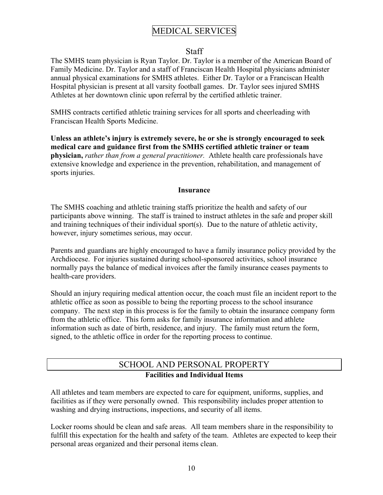# MEDICAL SERVICES

### Staff

The SMHS team physician is Ryan Taylor. Dr. Taylor is a member of the American Board of Family Medicine. Dr. Taylor and a staff of Franciscan Health Hospital physicians administer annual physical examinations for SMHS athletes. Either Dr. Taylor or a Franciscan Health Hospital physician is present at all varsity football games. Dr. Taylor sees injured SMHS Athletes at her downtown clinic upon referral by the certified athletic trainer.

SMHS contracts certified athletic training services for all sports and cheerleading with Franciscan Health Sports Medicine.

**Unless an athlete's injury is extremely severe, he or she is strongly encouraged to seek medical care and guidance first from the SMHS certified athletic trainer or team physician,** *rather than from a general practitioner.* Athlete health care professionals have extensive knowledge and experience in the prevention, rehabilitation, and management of sports injuries.

#### **Insurance**

The SMHS coaching and athletic training staffs prioritize the health and safety of our participants above winning. The staff is trained to instruct athletes in the safe and proper skill and training techniques of their individual sport(s). Due to the nature of athletic activity, however, injury sometimes serious, may occur.

Parents and guardians are highly encouraged to have a family insurance policy provided by the Archdiocese. For injuries sustained during school-sponsored activities, school insurance normally pays the balance of medical invoices after the family insurance ceases payments to health-care providers.

Should an injury requiring medical attention occur, the coach must file an incident report to the athletic office as soon as possible to being the reporting process to the school insurance company. The next step in this process is for the family to obtain the insurance company form from the athletic office. This form asks for family insurance information and athlete information such as date of birth, residence, and injury. The family must return the form, signed, to the athletic office in order for the reporting process to continue.

## SCHOOL AND PERSONAL PROPERTY **Facilities and Individual Items**

All athletes and team members are expected to care for equipment, uniforms, supplies, and facilities as if they were personally owned. This responsibility includes proper attention to washing and drying instructions, inspections, and security of all items.

Locker rooms should be clean and safe areas. All team members share in the responsibility to fulfill this expectation for the health and safety of the team. Athletes are expected to keep their personal areas organized and their personal items clean.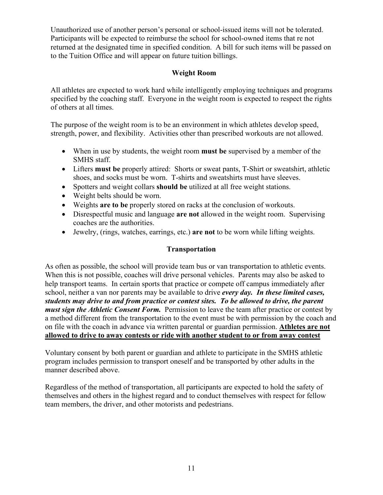Unauthorized use of another person's personal or school-issued items will not be tolerated. Participants will be expected to reimburse the school for school-owned items that re not returned at the designated time in specified condition. A bill for such items will be passed on to the Tuition Office and will appear on future tuition billings.

### **Weight Room**

All athletes are expected to work hard while intelligently employing techniques and programs specified by the coaching staff. Everyone in the weight room is expected to respect the rights of others at all times.

The purpose of the weight room is to be an environment in which athletes develop speed, strength, power, and flexibility. Activities other than prescribed workouts are not allowed.

- When in use by students, the weight room **must be** supervised by a member of the SMHS staff.
- Lifters **must be** properly attired: Shorts or sweat pants, T-Shirt or sweatshirt, athletic shoes, and socks must be worn. T-shirts and sweatshirts must have sleeves.
- Spotters and weight collars **should be** utilized at all free weight stations.
- Weight belts should be worn.
- Weights **are to be** properly stored on racks at the conclusion of workouts.
- Disrespectful music and language **are not** allowed in the weight room. Supervising coaches are the authorities.
- Jewelry, (rings, watches, earrings, etc.) **are not** to be worn while lifting weights.

### **Transportation**

As often as possible, the school will provide team bus or van transportation to athletic events. When this is not possible, coaches will drive personal vehicles. Parents may also be asked to help transport teams. In certain sports that practice or compete off campus immediately after school, neither a van nor parents may be available to drive *every day. In these limited cases, students may drive to and from practice or contest sites. To be allowed to drive, the parent must sign the Athletic Consent Form.* Permission to leave the team after practice or contest by a method different from the transportation to the event must be with permission by the coach and on file with the coach in advance via written parental or guardian permission. **Athletes are not allowed to drive to away contests or ride with another student to or from away contest**

Voluntary consent by both parent or guardian and athlete to participate in the SMHS athletic program includes permission to transport oneself and be transported by other adults in the manner described above.

Regardless of the method of transportation, all participants are expected to hold the safety of themselves and others in the highest regard and to conduct themselves with respect for fellow team members, the driver, and other motorists and pedestrians.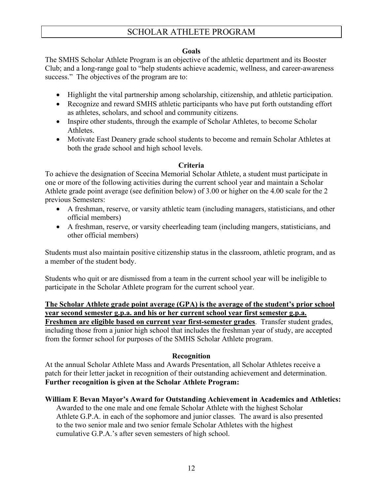# SCHOLAR ATHLETE PROGRAM

#### **Goals**

The SMHS Scholar Athlete Program is an objective of the athletic department and its Booster Club; and a long-range goal to "help students achieve academic, wellness, and career-awareness success." The objectives of the program are to:

- Highlight the vital partnership among scholarship, citizenship, and athletic participation.
- Recognize and reward SMHS athletic participants who have put forth outstanding effort as athletes, scholars, and school and community citizens.
- Inspire other students, through the example of Scholar Athletes, to become Scholar Athletes.
- Motivate East Deanery grade school students to become and remain Scholar Athletes at both the grade school and high school levels.

#### **Criteria**

To achieve the designation of Scecina Memorial Scholar Athlete, a student must participate in one or more of the following activities during the current school year and maintain a Scholar Athlete grade point average (see definition below) of 3.00 or higher on the 4.00 scale for the 2 previous Semesters:

- A freshman, reserve, or varsity athletic team (including managers, statisticians, and other official members)
- A freshman, reserve, or varsity cheerleading team (including mangers, statisticians, and other official members)

Students must also maintain positive citizenship status in the classroom, athletic program, and as a member of the student body.

Students who quit or are dismissed from a team in the current school year will be ineligible to participate in the Scholar Athlete program for the current school year.

**The Scholar Athlete grade point average (GPA) is the average of the student's prior school year second semester g.p.a. and his or her current school year first semester g.p.a. Freshmen are eligible based on current year first-semester grades**. Transfer student grades, including those from a junior high school that includes the freshman year of study, are accepted from the former school for purposes of the SMHS Scholar Athlete program.

#### **Recognition**

At the annual Scholar Athlete Mass and Awards Presentation, all Scholar Athletes receive a patch for their letter jacket in recognition of their outstanding achievement and determination. **Further recognition is given at the Scholar Athlete Program:**

#### **William E Bevan Mayor's Award for Outstanding Achievement in Academics and Athletics:**

Awarded to the one male and one female Scholar Athlete with the highest Scholar Athlete G.P.A. in each of the sophomore and junior classes. The award is also presented to the two senior male and two senior female Scholar Athletes with the highest cumulative G.P.A.'s after seven semesters of high school.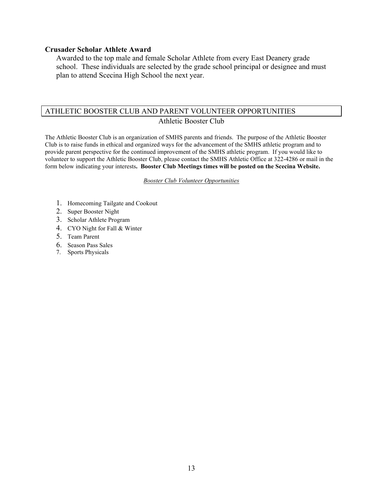#### **Crusader Scholar Athlete Award**

Awarded to the top male and female Scholar Athlete from every East Deanery grade school. These individuals are selected by the grade school principal or designee and must plan to attend Scecina High School the next year.

#### ATHLETIC BOOSTER CLUB AND PARENT VOLUNTEER OPPORTUNITIES

#### Athletic Booster Club

The Athletic Booster Club is an organization of SMHS parents and friends. The purpose of the Athletic Booster Club is to raise funds in ethical and organized ways for the advancement of the SMHS athletic program and to provide parent perspective for the continued improvement of the SMHS athletic program. If you would like to volunteer to support the Athletic Booster Club, please contact the SMHS Athletic Office at 322-4286 or mail in the form below indicating your interests**. Booster Club Meetings times will be posted on the Scecina Website.**

#### *Booster Club Volunteer Opportunities*

- 1. Homecoming Tailgate and Cookout
- 2. Super Booster Night
- 3. Scholar Athlete Program
- 4. CYO Night for Fall & Winter
- 5. Team Parent
- 6. Season Pass Sales
- 7. Sports Physicals